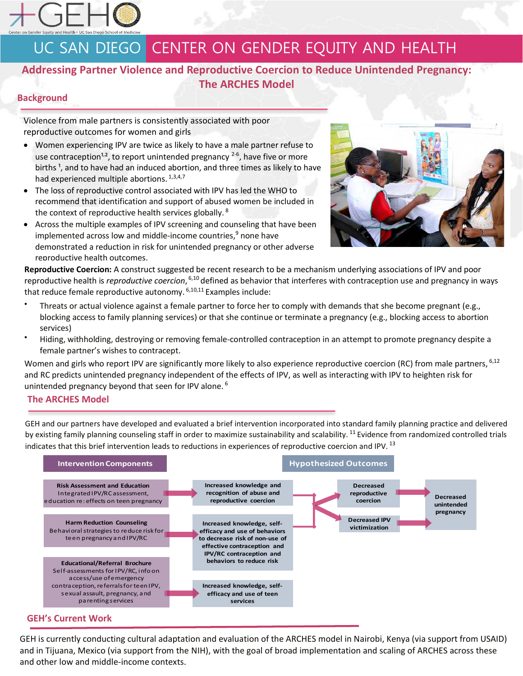

# UC SAN DIEGO CENTER ON GENDER EQUITY AND HEALTH

## **Addressing Partner Violence and Reproductive Coercion to Reduce Unintended Pregnancy: The ARCHES Model**

### **Background**

Violence from male partners is consistently associated with poor reproductive outcomes for women and girls

- Women experiencing IPV are twice as likely to have a male partner refuse to use contraception<sup>1,2</sup>, to report unintended pregnancy  $2-6$ , have five or more births<sup>1</sup>, and to have had an induced abortion, and three times as likely to have had experienced multiple abortions. 1,3,4,7
- The loss of reproductive control associated with IPV has led the WHO to recommend that identification and support of abused women be included in the context of reproductive health services globally. <sup>8</sup>
- Across the multiple examples of IPV screening and counseling that have been implemented across low and middle-income countries, $9$  none have demonstrated a reduction in risk for unintended pregnancy or other adverse reproductive health outcomes.



**Reproductive Coercion:** A construct suggested be recent research to be a mechanism underlying associations of IPV and poor reproductive health is *reproductive coercion*, <sup>6,10</sup> defined as behavior that interferes with contraception use and pregnancy in ways that reduce female reproductive autonomy.<sup>6,10,11</sup> Examples include:

- Threats or actual violence against a female partner to force her to comply with demands that she become pregnant (e.g., blocking access to family planning services) or that she continue or terminate a pregnancy (e.g., blocking access to abortion services)
- Hiding, withholding, destroying or removing female-controlled contraception in an attempt to promote pregnancy despite a female partner's wishes to contracept.

Women and girls who report IPV are significantly more likely to also experience reproductive coercion (RC) from male partners, <sup>6,12</sup> and RC predicts unintended pregnancy independent of the effects of IPV, as well as interacting with IPV to heighten risk for unintended pregnancy beyond that seen for IPV alone.<sup>6</sup>

#### **The ARCHES Model**

GEH and our partners have developed and evaluated a brief intervention incorporated into standard family planning practice and delivered by existing family planning counseling staff in order to maximize sustainability and scalability. <sup>11</sup> Evidence from randomized controlled trials indicates that this brief intervention leads to reductions in experiences of reproductive coercion and IPV. <sup>13</sup>



GEH is currently conducting cultural adaptation and evaluation of the ARCHES model in Nairobi, Kenya (via support from USAID) and in Tijuana, Mexico (via support from the NIH), with the goal of broad implementation and scaling of ARCHES across these and other low and middle-income contexts.